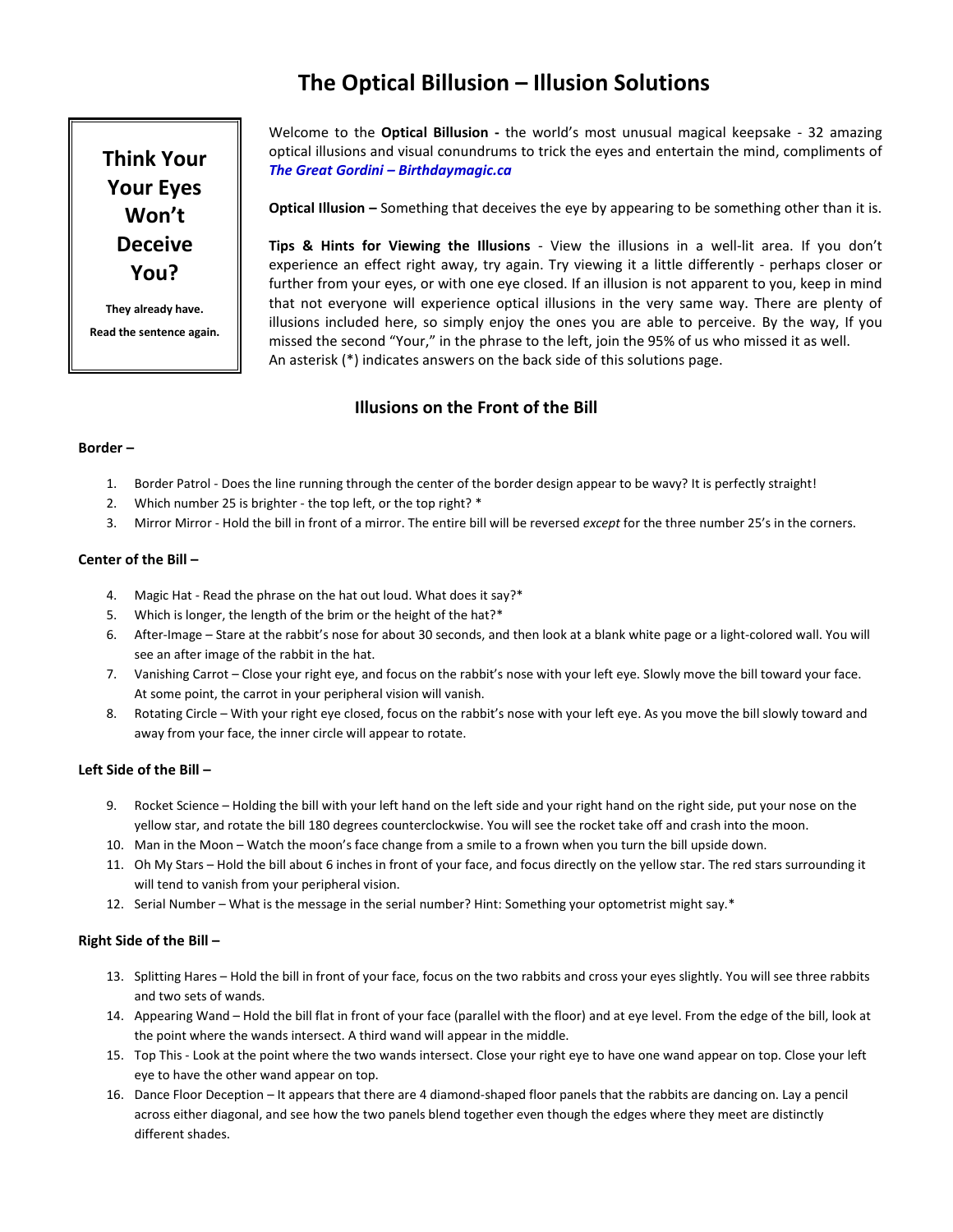# **The Optical Billusion – Illusion Solutions**

**Think Your Your Eyes Won't Deceive You?**

**They already have. Read the sentence again.** Welcome to the **Optical Billusion -** the world's most unusual magical keepsake - 32 amazing optical illusions and visual conundrums to trick the eyes and entertain the mind, compliments of *The Great Gordini – Birthdaymagic.ca*

**Optical Illusion –** Something that deceives the eye by appearing to be something other than it is.

**Tips & Hints for Viewing the Illusions** - View the illusions in a well-lit area. If you don't experience an effect right away, try again. Try viewing it a little differently - perhaps closer or further from your eyes, or with one eye closed. If an illusion is not apparent to you, keep in mind that not everyone will experience optical illusions in the very same way. There are plenty of illusions included here, so simply enjoy the ones you are able to perceive. By the way, If you missed the second "Your," in the phrase to the left, join the 95% of us who missed it as well. An asterisk (\*) indicates answers on the back side of this solutions page.

# **Illusions on the Front of the Bill**

## **Border –**

- 1. Border Patrol Does the line running through the center of the border design appear to be wavy? It is perfectly straight!
- 2. Which number 25 is brighter the top left, or the top right? \*
- 3. Mirror Mirror Hold the bill in front of a mirror. The entire bill will be reversed *except* for the three number 25's in the corners.

## **Center of the Bill –**

- 4. Magic Hat Read the phrase on the hat out loud. What does it say?\*
- 5. Which is longer, the length of the brim or the height of the hat?\*
- 6. After-Image Stare at the rabbit's nose for about 30 seconds, and then look at a blank white page or a light-colored wall. You will see an after image of the rabbit in the hat.
- 7. Vanishing Carrot Close your right eye, and focus on the rabbit's nose with your left eye. Slowly move the bill toward your face. At some point, the carrot in your peripheral vision will vanish.
- 8. Rotating Circle With your right eye closed, focus on the rabbit's nose with your left eye. As you move the bill slowly toward and away from your face, the inner circle will appear to rotate.

# **Left Side of the Bill –**

- 9. Rocket Science Holding the bill with your left hand on the left side and your right hand on the right side, put your nose on the yellow star, and rotate the bill 180 degrees counterclockwise. You will see the rocket take off and crash into the moon.
- 10. Man in the Moon Watch the moon's face change from a smile to a frown when you turn the bill upside down.
- 11. Oh My Stars Hold the bill about 6 inches in front of your face, and focus directly on the yellow star. The red stars surrounding it will tend to vanish from your peripheral vision.
- 12. Serial Number What is the message in the serial number? Hint: Something your optometrist might say.\*

#### **Right Side of the Bill –**

- 13. Splitting Hares Hold the bill in front of your face, focus on the two rabbits and cross your eyes slightly. You will see three rabbits and two sets of wands.
- 14. Appearing Wand Hold the bill flat in front of your face (parallel with the floor) and at eye level. From the edge of the bill, look at the point where the wands intersect. A third wand will appear in the middle.
- 15. Top This Look at the point where the two wands intersect. Close your right eye to have one wand appear on top. Close your left eye to have the other wand appear on top.
- 16. Dance Floor Deception It appears that there are 4 diamond-shaped floor panels that the rabbits are dancing on. Lay a pencil across either diagonal, and see how the two panels blend together even though the edges where they meet are distinctly different shades.